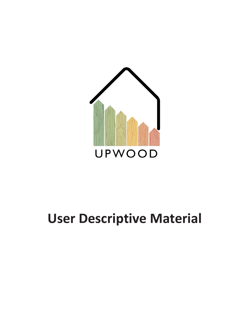

# **User Descriptive Material**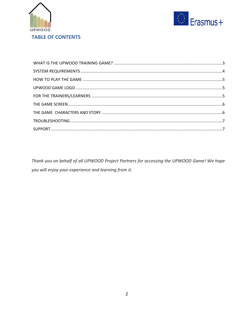



Thank you on behalf of all UPWOOD Project Partners for accessing the UPWOOD Game! We hope you will enjoy your experience and learning from it.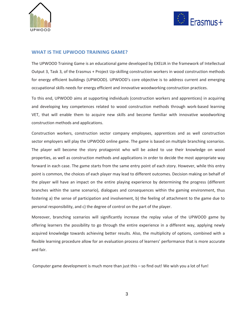



### <span id="page-2-0"></span>**WHAT IS THE UPWOOD TRAINING GAME?**

The UPWOOD Training Game is an educational game developed by EXELIA in the framework of Intellectual Output 3, Task 3, of the Erasmus + Project Up-skilling construction workers in wood construction methods for energy efficient buildings (UPWOOD). UPWOOD's core objective is to address current and emerging occupational skills needs for energy efficient and innovative woodworking construction practices.

To this end, UPWOOD aims at supporting individuals (construction workers and apprentices) in acquiring and developing key competences related to wood construction methods through work-based learning VET, that will enable them to acquire new skills and become familiar with innovative woodworking construction methods and applications.

Construction workers, construction sector company employees, apprentices and as well construction sector employers will play the UPWOOD online game. The game is based on multiple branching scenarios. The player will become the story protagonist who will be asked to use their knowledge on wood properties, as well as construction methods and applications in order to decide the most appropriate way forward in each case. The game starts from the same entry point of each story. However, while this entry point is common, the choices of each player may lead to different outcomes. Decision making on behalf of the player will have an impact on the entire playing experience by determining the progress (different branches within the same scenario), dialogues and consequences within the gaming environment, thus fostering a) the sense of participation and involvement, b) the feeling of attachment to the game due to personal responsibility, and c) the degree of control on the part of the player.

Moreover, branching scenarios will significantly increase the replay value of the UPWOOD game by offering learners the possibility to go through the entire experience in a different way, applying newly acquired knowledge towards achieving better results. Also, the multiplicity of options, combined with a flexible learning procedure allow for an evaluation process of learners' performance that is more accurate and fair.

Computer game development is much more than just this – so find out! We wish you a lot of fun!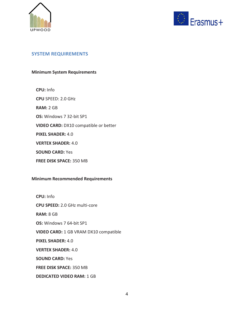



# <span id="page-3-0"></span>**SYSTEM REQUIREMENTS**

## **Minimum System Requirements**

 **CPU:** Info  **CPU** SPEED: 2.0 GHz  **RAM:** 2 GB  **OS:** Windows 7 32-bit SP1  **VIDEO CARD:** DX10 compatible or better  **PIXEL SHADER:** 4.0  **VERTEX SHADER:** 4.0  **SOUND CARD:** Yes  **FREE DISK SPACE:** 350 MB

## **Minimum Recommended Requirements**

 **CPU:** Info  **CPU SPEED:** 2.0 GHz multi-core  **RAM:** 8 GB  **OS:** Windows 7 64-bit SP1  **VIDEO CARD:** 1 GB VRAM DX10 compatible  **PIXEL SHADER:** 4.0  **VERTEX SHADER:** 4.0  **SOUND CARD:** Yes  **FREE DISK SPACE:** 350 MB  **DEDICATED VIDEO RAM:** 1 GB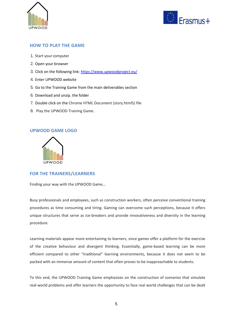<span id="page-4-0"></span>



# **HOW TO PLAY THE GAME**

- 1. Start your computer
- 2. Open your browser
- 3. Click on the following link: <https://www.upwoodproject.eu/>
- 4. Enter UPWOOD website
- 5. Go to the Training Game from the main deliverables section
- 6. Download and unzip. the folder
- <span id="page-4-1"></span>7. Double click on the Chrome HTML Document (story.html5) file
- 8. Play the UPWOOD Training Game.

## **UPWOOD GAME LOGO**

<span id="page-4-2"></span>

# **FOR THE TRAINERS/LEARNERS**

Finding your way with the UPWOOD Game…

Busy professionals and employees, such as construction workers, often perceive conventional training procedures as time consuming and tiring. Gaming can overcome such perceptions, because it offers unique structures that serve as ice-breakers and provide innovativeness and diversity in the learning procedure.

Learning materials appear more entertaining to learners, since games offer a platform for the exercise of the creative behaviour and divergent thinking. Essentially, game-based learning can be more efficient compared to other "traditional" learning environments, because it does not seem to be packed with an immense amount of content that often proves to be inapproachable to students.

To this end, the UPWOOD Training Game emphasizes on the construction of scenarios that simulate real-world problems and offer learners the opportunity to face real world challenges that can be dealt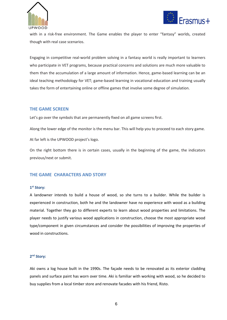



with in a risk-free environment. The Game enables the player to enter "fantasy" worlds, created though with real case scenarios.

Engaging in competitive real-world problem solving in a fantasy world is really important to learners who participate in VET programs, because practical concerns and solutions are much more valuable to them than the accumulation of a large amount of information. Hence, game-based learning can be an ideal teaching methodology for VET; game-based learning in vocational education and training usually takes the form of entertaining online or offline games that involve some degree of simulation.

## <span id="page-5-0"></span>**THE GAME SCREEN**

Let's go over the symbols that are permanently fixed on all game screens first.

Along the lower edge of the monitor is the menu bar. This will help you to proceed to each story game.

At far left is the UPWOOD project's logo.

<span id="page-5-1"></span>On the right bottom there is in certain cases, usually in the beginning of the game, the indicators previous/next or submit.

# **THE GAME CHARACTERS AND STORY**

#### **1 st Story:**

A landowner intends to build a house of wood, so she turns to a builder. While the builder is experienced in construction, both he and the landowner have no experience with wood as a building material. Together they go to different experts to learn about wood properties and limitations. The player needs to justify various wood applications in construction, choose the most appropriate wood type/component in given circumstances and consider the possibilities of improving the properties of wood in constructions.

### **2 nd Story:**

Aki owns a log house built in the 1990s. The façade needs to be renovated as its exterior cladding panels and surface paint has worn over time. Aki is familiar with working with wood, so he decided to buy supplies from a local timber store and renovate facades with his friend, Risto.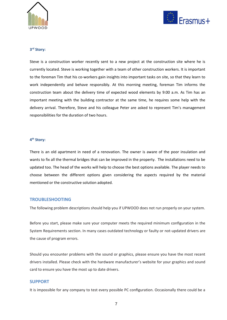



#### **3 rd Story:**

Steve is a construction worker recently sent to a new project at the construction site where he is currently located. Steve is working together with a team of other construction workers. It is important to the foreman Tim that his co-workers gain insights into important tasks on site, so that they learn to work independently and behave responsibly. At this morning meeting, foreman Tim informs the construction team about the delivery time of expected wood elements by 9:00 a.m. As Tim has an important meeting with the building contractor at the same time, he requires some help with the delivery arrival. Therefore, Steve and his colleague Peter are asked to represent Tim's management responsibilities for the duration of two hours.

#### **4 th Story:**

<span id="page-6-0"></span>There is an old apartment in need of a renovation. The owner is aware of the poor insulation and wants to fix all the thermal bridges that can be improved in the property. The installations need to be updated too. The head of the works will help to choose the best options available. The player needs to choose between the different options given considering the aspects required by the material mentioned or the constructive solution adopted.

#### **TROUBLESHOOTING**

The following problem descriptions should help you if UPWOOD does not run properly on your system.

Before you start, please make sure your computer meets the required minimum configuration in the System Requirements section. In many cases outdated technology or faulty or not-updated drivers are the cause of program errors.

<span id="page-6-1"></span>Should you encounter problems with the sound or graphics, please ensure you have the most recent drivers installed. Please check with the hardware manufacturer's website for your graphics and sound card to ensure you have the most up to date drivers.

#### **SUPPORT**

It is impossible for any company to test every possible PC configuration. Occasionally there could be a